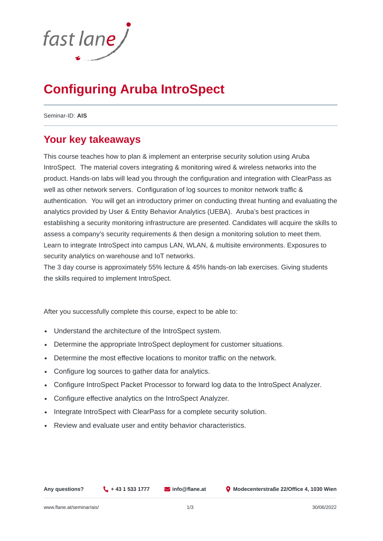

# **Configuring Aruba IntroSpect**

Seminar-ID: **AIS**

#### **Your key takeaways**

This course teaches how to plan & implement an enterprise security solution using Aruba IntroSpect. The material covers integrating & monitoring wired & wireless networks into the product. Hands-on labs will lead you through the configuration and integration with ClearPass as well as other network servers. Configuration of log sources to monitor network traffic & authentication. You will get an introductory primer on conducting threat hunting and evaluating the analytics provided by User & Entity Behavior Analytics (UEBA). Aruba's best practices in establishing a security monitoring infrastructure are presented. Candidates will acquire the skills to assess a company's security requirements & then design a monitoring solution to meet them. Learn to integrate IntroSpect into campus LAN, WLAN, & multisite environments. Exposures to security analytics on warehouse and IoT networks.

The 3 day course is approximately 55% lecture & 45% hands-on lab exercises. Giving students the skills required to implement IntroSpect.

After you successfully complete this course, expect to be able to:

- Understand the architecture of the IntroSpect system.
- Determine the appropriate IntroSpect deployment for customer situations.
- Determine the most effective locations to monitor traffic on the network.
- Configure log sources to gather data for analytics.
- Configure IntroSpect Packet Processor to forward log data to the IntroSpect Analyzer.  $\bullet$
- Configure effective analytics on the IntroSpect Analyzer.
- Integrate IntroSpect with ClearPass for a complete security solution.  $\bullet$
- Review and evaluate user and entity behavior characteristics.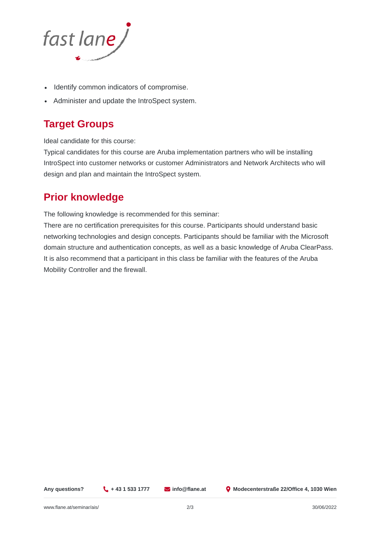

- Identify common indicators of compromise.
- Administer and update the IntroSpect system.

## **Target Groups**

Ideal candidate for this course:

Typical candidates for this course are Aruba implementation partners who will be installing IntroSpect into customer networks or customer Administrators and Network Architects who will design and plan and maintain the IntroSpect system.

### **Prior knowledge**

The following knowledge is recommended for this seminar:

There are no certification prerequisites for this course. Participants should understand basic networking technologies and design concepts. Participants should be familiar with the Microsoft domain structure and authentication concepts, as well as a basic knowledge of Aruba ClearPass. It is also recommend that a participant in this class be familiar with the features of the Aruba Mobility Controller and the firewall.

**Any questions? + 43 1 533 1777 info@flane.at Modecenterstraße 22/Office 4, 1030 Wien**